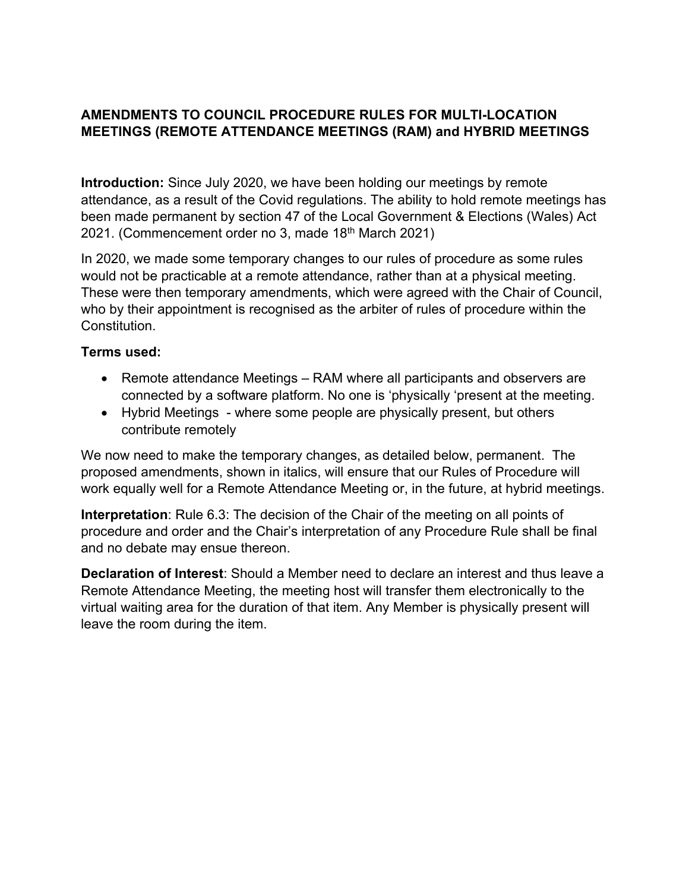## **AMENDMENTS TO COUNCIL PROCEDURE RULES FOR MULTI-LOCATION MEETINGS (REMOTE ATTENDANCE MEETINGS (RAM) and HYBRID MEETINGS**

**Introduction:** Since July 2020, we have been holding our meetings by remote attendance, as a result of the Covid regulations. The ability to hold remote meetings has been made permanent by section 47 of the Local Government & Elections (Wales) Act 2021. (Commencement order no 3, made 18th March 2021)

In 2020, we made some temporary changes to our rules of procedure as some rules would not be practicable at a remote attendance, rather than at a physical meeting. These were then temporary amendments, which were agreed with the Chair of Council, who by their appointment is recognised as the arbiter of rules of procedure within the Constitution.

## **Terms used:**

- Remote attendance Meetings RAM where all participants and observers are connected by a software platform. No one is 'physically 'present at the meeting.
- Hybrid Meetings where some people are physically present, but others contribute remotely

We now need to make the temporary changes, as detailed below, permanent. The proposed amendments, shown in italics, will ensure that our Rules of Procedure will work equally well for a Remote Attendance Meeting or, in the future, at hybrid meetings.

**Interpretation**: Rule 6.3: The decision of the Chair of the meeting on all points of procedure and order and the Chair's interpretation of any Procedure Rule shall be final and no debate may ensue thereon.

**Declaration of Interest**: Should a Member need to declare an interest and thus leave a Remote Attendance Meeting, the meeting host will transfer them electronically to the virtual waiting area for the duration of that item. Any Member is physically present will leave the room during the item.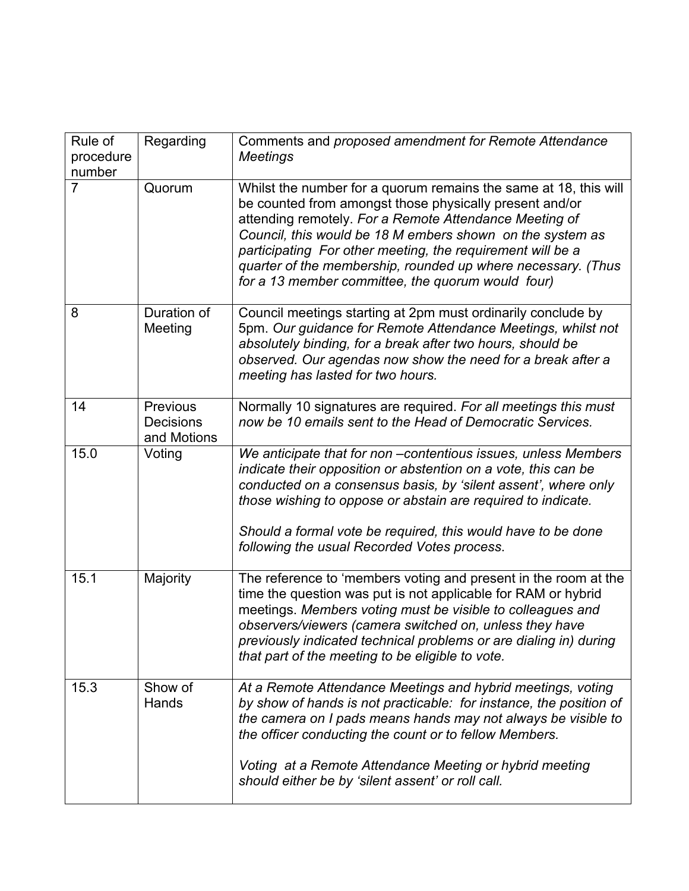| Rule of<br>procedure<br>number | Regarding                                   | Comments and proposed amendment for Remote Attendance<br><b>Meetings</b>                                                                                                                                                                                                                                                                                                                                                              |
|--------------------------------|---------------------------------------------|---------------------------------------------------------------------------------------------------------------------------------------------------------------------------------------------------------------------------------------------------------------------------------------------------------------------------------------------------------------------------------------------------------------------------------------|
| $\overline{7}$                 | Quorum                                      | Whilst the number for a quorum remains the same at 18, this will<br>be counted from amongst those physically present and/or<br>attending remotely. For a Remote Attendance Meeting of<br>Council, this would be 18 M embers shown on the system as<br>participating For other meeting, the requirement will be a<br>quarter of the membership, rounded up where necessary. (Thus<br>for a 13 member committee, the quorum would four) |
| 8                              | Duration of<br>Meeting                      | Council meetings starting at 2pm must ordinarily conclude by<br>5pm. Our guidance for Remote Attendance Meetings, whilst not<br>absolutely binding, for a break after two hours, should be<br>observed. Our agendas now show the need for a break after a<br>meeting has lasted for two hours.                                                                                                                                        |
| 14                             | Previous<br><b>Decisions</b><br>and Motions | Normally 10 signatures are required. For all meetings this must<br>now be 10 emails sent to the Head of Democratic Services.                                                                                                                                                                                                                                                                                                          |
| 15.0                           | Voting                                      | We anticipate that for non-contentious issues, unless Members<br>indicate their opposition or abstention on a vote, this can be<br>conducted on a consensus basis, by 'silent assent', where only<br>those wishing to oppose or abstain are required to indicate.<br>Should a formal vote be required, this would have to be done<br>following the usual Recorded Votes process.                                                      |
| 15.1                           | Majority                                    | The reference to 'members voting and present in the room at the<br>time the question was put is not applicable for RAM or hybrid<br>meetings. Members voting must be visible to colleagues and<br>observers/viewers (camera switched on, unless they have<br>previously indicated technical problems or are dialing in) during<br>that part of the meeting to be eligible to vote.                                                    |
| 15.3                           | Show of<br>Hands                            | At a Remote Attendance Meetings and hybrid meetings, voting<br>by show of hands is not practicable: for instance, the position of<br>the camera on I pads means hands may not always be visible to<br>the officer conducting the count or to fellow Members.                                                                                                                                                                          |
|                                |                                             | Voting at a Remote Attendance Meeting or hybrid meeting<br>should either be by 'silent assent' or roll call.                                                                                                                                                                                                                                                                                                                          |